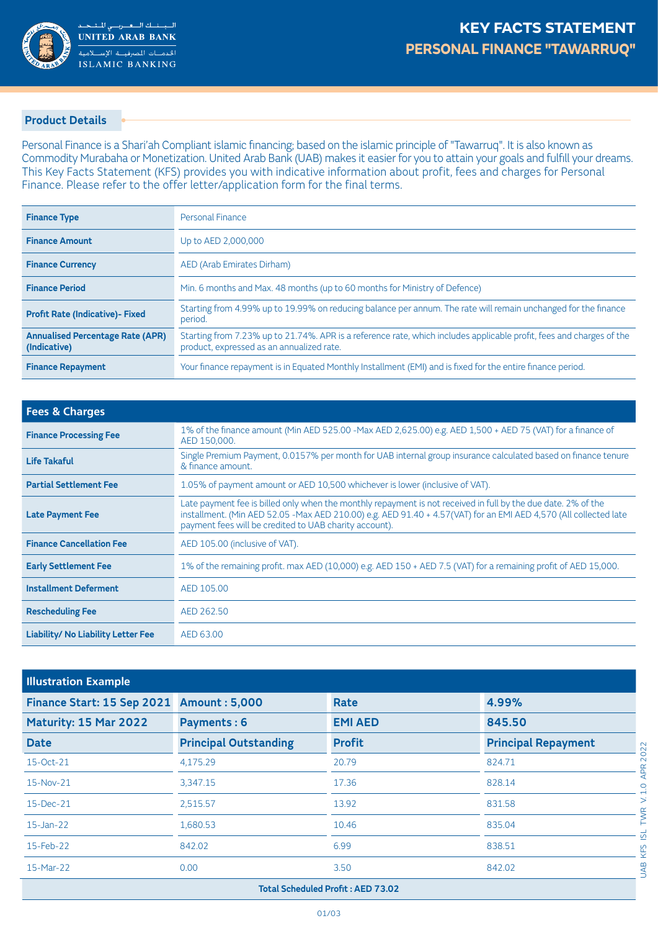

## **Product Details**

Personal Finance is a Shari'ah Compliant islamic financing; based on the islamic principle of "Tawarruq". It is also known as Commodity Murabaha or Monetization. United Arab Bank (UAB) makes it easier for you to attain your goals and fulfill your dreams. This Key Facts Statement (KFS) provides you with indicative information about profit, fees and charges for Personal Finance. Please refer to the offer letter/application form for the final terms.

| <b>Finance Type</b>                                     | Personal Finance                                                                                                                                                  |
|---------------------------------------------------------|-------------------------------------------------------------------------------------------------------------------------------------------------------------------|
| <b>Finance Amount</b>                                   | Up to AED 2,000,000                                                                                                                                               |
| <b>Finance Currency</b>                                 | AED (Arab Emirates Dirham)                                                                                                                                        |
| <b>Finance Period</b>                                   | Min. 6 months and Max. 48 months (up to 60 months for Ministry of Defence)                                                                                        |
| <b>Profit Rate (Indicative)- Fixed</b>                  | Starting from 4.99% up to 19.99% on reducing balance per annum. The rate will remain unchanged for the finance<br>period.                                         |
| <b>Annualised Percentage Rate (APR)</b><br>(Indicative) | Starting from 7.23% up to 21.74%. APR is a reference rate, which includes applicable profit, fees and charges of the<br>product, expressed as an annualized rate. |
| <b>Finance Repayment</b>                                | Your finance repayment is in Equated Monthly Installment (EMI) and is fixed for the entire finance period.                                                        |

| <b>Fees &amp; Charges</b>                 |                                                                                                                                                                                                                                                                                             |
|-------------------------------------------|---------------------------------------------------------------------------------------------------------------------------------------------------------------------------------------------------------------------------------------------------------------------------------------------|
| <b>Finance Processing Fee</b>             | 1% of the finance amount (Min AED 525.00 - Max AED 2,625.00) e.g. AED 1,500 + AED 75 (VAT) for a finance of<br>AED 150,000.                                                                                                                                                                 |
| Life Takaful                              | Single Premium Payment, 0.0157% per month for UAB internal group insurance calculated based on finance tenure<br>& finance amount.                                                                                                                                                          |
| <b>Partial Settlement Fee</b>             | 1.05% of payment amount or AED 10,500 whichever is lower (inclusive of VAT).                                                                                                                                                                                                                |
| <b>Late Payment Fee</b>                   | Late payment fee is billed only when the monthly repayment is not received in full by the due date. 2% of the<br>installment. (Min AED 52.05 -Max AED 210.00) e.g. AED 91.40 + 4.57(VAT) for an EMI AED 4,570 (All collected late<br>payment fees will be credited to UAB charity account). |
| <b>Finance Cancellation Fee</b>           | AED 105.00 (inclusive of VAT).                                                                                                                                                                                                                                                              |
| <b>Early Settlement Fee</b>               | 1% of the remaining profit. max AED (10,000) e.g. AED 150 + AED 7.5 (VAT) for a remaining profit of AED 15,000.                                                                                                                                                                             |
| <b>Installment Deferment</b>              | AED 105.00                                                                                                                                                                                                                                                                                  |
| <b>Rescheduling Fee</b>                   | AED 262.50                                                                                                                                                                                                                                                                                  |
| <b>Liability/ No Liability Letter Fee</b> | AED 63.00                                                                                                                                                                                                                                                                                   |

| <b>Illustration Example</b>        |                              |                |                            |  |
|------------------------------------|------------------------------|----------------|----------------------------|--|
| Finance Start: 15 Sep 2021         | <b>Amount: 5,000</b>         | Rate           | 4.99%                      |  |
| Maturity: 15 Mar 2022              | Payments: 6                  | <b>EMI AED</b> | 845.50                     |  |
| <b>Date</b>                        | <b>Principal Outstanding</b> | <b>Profit</b>  | <b>Principal Repayment</b> |  |
| 15-Oct-21                          | 4,175.29                     | 20.79          | 824.71                     |  |
| 15-Nov-21                          | 3,347.15                     | 17.36          | 828.14                     |  |
| 15-Dec-21                          | 2,515.57                     | 13.92          | 831.58                     |  |
| $15$ -Jan-22                       | 1,680.53                     | 10.46          | 835.04                     |  |
| 15-Feb-22                          | 842.02                       | 6.99           | 838.51                     |  |
| 15-Mar-22                          | 0.00                         | 3.50           | 842.02                     |  |
| Total Scheduled Profit : AED 73.02 |                              |                |                            |  |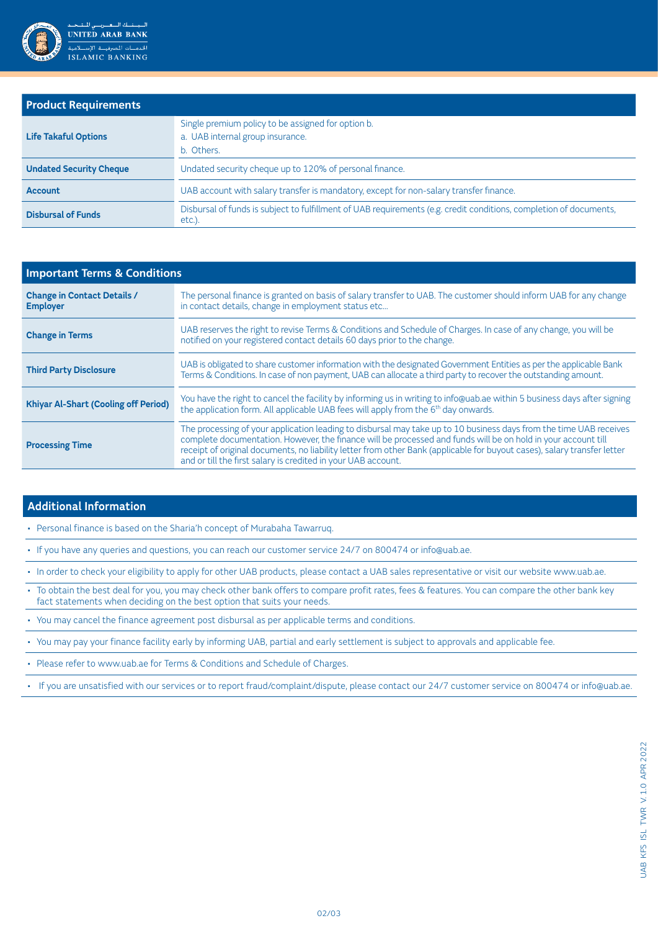

### **Product Requirements**

| <b>Life Takaful Options</b>    | Single premium policy to be assigned for option b.<br>a. UAB internal group insurance.<br>b. Others.                        |
|--------------------------------|-----------------------------------------------------------------------------------------------------------------------------|
| <b>Undated Security Cheque</b> | Undated security cheque up to 120% of personal finance.                                                                     |
| <b>Account</b>                 | UAB account with salary transfer is mandatory, except for non-salary transfer finance.                                      |
| <b>Disbursal of Funds</b>      | Disbursal of funds is subject to fulfillment of UAB requirements (e.g. credit conditions, completion of documents,<br>etc.) |

| <b>Important Terms &amp; Conditions</b>               |                                                                                                                                                                                                                                                                                                                                                                                                                                  |  |
|-------------------------------------------------------|----------------------------------------------------------------------------------------------------------------------------------------------------------------------------------------------------------------------------------------------------------------------------------------------------------------------------------------------------------------------------------------------------------------------------------|--|
| <b>Change in Contact Details /</b><br><b>Employer</b> | The personal finance is granted on basis of salary transfer to UAB. The customer should inform UAB for any change<br>in contact details, change in employment status etc                                                                                                                                                                                                                                                         |  |
| <b>Change in Terms</b>                                | UAB reserves the right to revise Terms & Conditions and Schedule of Charges. In case of any change, you will be<br>notified on your registered contact details 60 days prior to the change.                                                                                                                                                                                                                                      |  |
| <b>Third Party Disclosure</b>                         | UAB is obligated to share customer information with the designated Government Entities as per the applicable Bank<br>Terms & Conditions. In case of non payment, UAB can allocate a third party to recover the outstanding amount.                                                                                                                                                                                               |  |
| <b>Khiyar Al-Shart (Cooling off Period)</b>           | You have the right to cancel the facility by informing us in writing to info@uab.ae within 5 business days after signing<br>the application form. All applicable UAB fees will apply from the 6 <sup>th</sup> day onwards.                                                                                                                                                                                                       |  |
| <b>Processing Time</b>                                | The processing of your application leading to disbursal may take up to 10 business days from the time UAB receives<br>complete documentation. However, the finance will be processed and funds will be on hold in your account till<br>receipt of original documents, no liability letter from other Bank (applicable for buyout cases), salary transfer letter<br>and or till the first salary is credited in your UAB account. |  |

### **Additional Information**

. Personal finance is based on the Sharia'h concept of Murabaha Tawarrug.

. If you have any queries and questions, you can reach our customer service 24/7 on 800474 or info@uab.ae.

. In order to check your eligibility to apply for other UAB products, please contact a UAB sales representative or visit our website www.uab.ae.

- To obtain the best deal for you, you may check other bank offers to compare profit rates, fees & features. You can compare the other bank key fact statements when deciding on the best option that suits your needs.
- . You may cancel the finance agreement post disbursal as per applicable terms and conditions.
- . You may pay your finance facility early by informing UAB, partial and early settlement is subject to approvals and applicable fee.

. Please refer to www.uab.ae for Terms & Conditions and Schedule of Charges.

. If you are unsatisfied with our services or to report fraud/complaint/dispute, please contact our 24/7 customer service on 800474 or info@uab.ae.